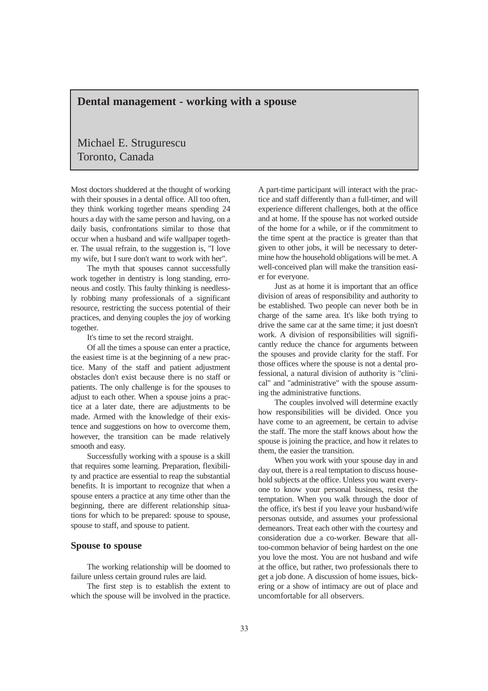# **Dental management - working with a spouse**

# Michael E. Strugurescu Toronto, Canada

Most doctors shuddered at the thought of working with their spouses in a dental office. All too often, they think working together means spending 24 hours a day with the same person and having, on a daily basis, confrontations similar to those that occur when a husband and wife wallpaper together. The usual refrain, to the suggestion is, "I love my wife, but I sure don't want to work with her".

The myth that spouses cannot successfully work together in dentistry is long standing, erroneous and costly. This faulty thinking is needlessly robbing many professionals of a significant resource, restricting the success potential of their practices, and denying couples the joy of working together.

It's time to set the record straight.

Of all the times a spouse can enter a practice, the easiest time is at the beginning of a new practice. Many of the staff and patient adjustment obstacles don't exist because there is no staff or patients. The only challenge is for the spouses to adjust to each other. When a spouse joins a practice at a later date, there are adjustments to be made. Armed with the knowledge of their existence and suggestions on how to overcome them, however, the transition can be made relatively smooth and easy.

Successfully working with a spouse is a skill that requires some learning. Preparation, flexibility and practice are essential to reap the substantial benefits. It is important to recognize that when a spouse enters a practice at any time other than the beginning, there are different relationship situations for which to be prepared: spouse to spouse, spouse to staff, and spouse to patient.

### **Spouse to spouse**

The working relationship will be doomed to failure unless certain ground rules are laid.

The first step is to establish the extent to which the spouse will be involved in the practice. A part-time participant will interact with the practice and staff differently than a full-timer, and will experience different challenges, both at the office and at home. If the spouse has not worked outside of the home for a while, or if the commitment to the time spent at the practice is greater than that given to other jobs, it will be necessary to determine how the household obligations will be met. A well-conceived plan will make the transition easier for everyone.

Just as at home it is important that an office division of areas of responsibility and authority to be established. Two people can never both be in charge of the same area. It's like both trying to drive the same car at the same time; it just doesn't work. A division of responsibilities will significantly reduce the chance for arguments between the spouses and provide clarity for the staff. For those offices where the spouse is not a dental professional, a natural division of authority is "clinical" and "administrative" with the spouse assuming the administrative functions.

The couples involved will determine exactly how responsibilities will be divided. Once you have come to an agreement, be certain to advise the staff. The more the staff knows about how the spouse is joining the practice, and how it relates to them, the easier the transition.

When you work with your spouse day in and day out, there is a real temptation to discuss household subjects at the office. Unless you want everyone to know your personal business, resist the temptation. When you walk through the door of the office, it's best if you leave your husband/wife personas outside, and assumes your professional demeanors. Treat each other with the courtesy and consideration due a co-worker. Beware that alltoo-common behavior of being hardest on the one you love the most. You are not husband and wife at the office, but rather, two professionals there to get a job done. A discussion of home issues, bickering or a show of intimacy are out of place and uncomfortable for all observers.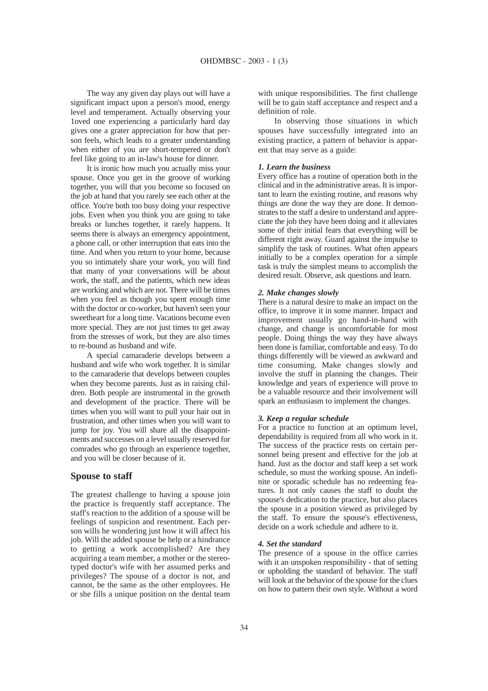The way any given day plays out will have a significant impact upon a person's mood, energy level and temperament. Actually observing your 1oved one experiencing a particularly hard day gives one a grater appreciation for how that person feels, which leads to a greater understanding when either of you are short-tempered or don't feel like going to an in-law's house for dinner.

It is ironic how much you actually miss your spouse. Once you get in the groove of working together, you will that you become so focused on the job at hand that you rarely see each other at the office. You're both too busy doing your respective jobs. Even when you think you are going to take breaks or lunches together, it rarely happens. It seems there is always an emergency appointment, a phone call, or other interruption that eats into the time. And when you return to your home, because you so intimately share your work, you will find that many of your conversations will be about work, the staff, and the patients, which new ideas are working and which are not. There will be times when you feel as though you spent enough time with the doctor or co-worker, but haven't seen your sweetheart for a long time. Vacations become even more special. They are not just times to get away from the stresses of work, but they are also times to re-bound as husband and wife.

A special camaraderie develops between a husband and wife who work together. It is similar to the camaraderie that develops between couples when they become parents. Just as in raising children. Both people are instrumental in the growth and development of the practice. There will be times when you will want to pull your hair out in frustration, and other times when you will want to jump for joy. You will share all the disappointments and successes on a level usually reserved for comrades who go through an experience together, and you will be closer because of it.

## **Spouse to staff**

The greatest challenge to having a spouse join the practice is frequently staff acceptance. The staff's reaction to the addition of a spouse will be feelings of suspicion and resentment. Each person wills he wondering just how it will affect his job. Will the added spouse be help or a hindrance to getting a work accomplished? Are they acquiring a team member, a mother or the stereotyped doctor's wife with her assumed perks and privileges? The spouse of a doctor is not, and cannot, be the same as the other employees. He or she fills a unique position on the dental team

with unique responsibilities. The first challenge will be to gain staff acceptance and respect and a definition of role.

In observing those situations in which spouses have successfully integrated into an existing practice, a pattern of behavior is apparent that may serve as a guide:

#### *1. Learn the business*

Every office has a routine of operation both in the clinical and in the administrative areas. It is important to learn the existing routine, and reasons why things are done the way they are done. It demonstrates to the staff a desire to understand and appreciate the job they have been doing and it alleviates some of their initial fears that everything will be different right away. Guard against the impulse to simplify the task of routines. What often appears initially to be a complex operation for a simple task is truly the simplest means to accomplish the desired result. Observe, ask questions and learn.

#### *2. Make changes slowly*

There is a natural desire to make an impact on the office, to improve it in some manner. Impact and improvement usually go hand-in-hand with change, and change is uncomfortable for most people. Doing things the way they have always been done is familiar, comfortable and easy. To do things differently will be viewed as awkward and time consuming. Make changes slowly and involve the stuff in planning the changes. Their knowledge and years of experience will prove to be a valuable resource and their involvement will spark an enthusiasm to implement the changes.

## *3. Keep a regular schedule*

For a practice to function at an optimum level, dependability is required from all who work in it. The success of the practice rests on certain personnel being present and effective for the job at hand. Just as the doctor and staff keep a set work schedule, so must the working spouse. An indefinite or sporadic schedule has no redeeming features. It not only causes the staff to doubt the spouse's dedication to the practice, but also places the spouse in a position viewed as privileged by the staff. To ensure the spouse's effectiveness, decide on a work schedule and adhere to it.

#### *4. Set the standard*

The presence of a spouse in the office carries with it an unspoken responsibility - that of setting or upholding the standard of behavior. The staff will look at the behavior of the spouse for the clues on how to pattern their own style. Without a word